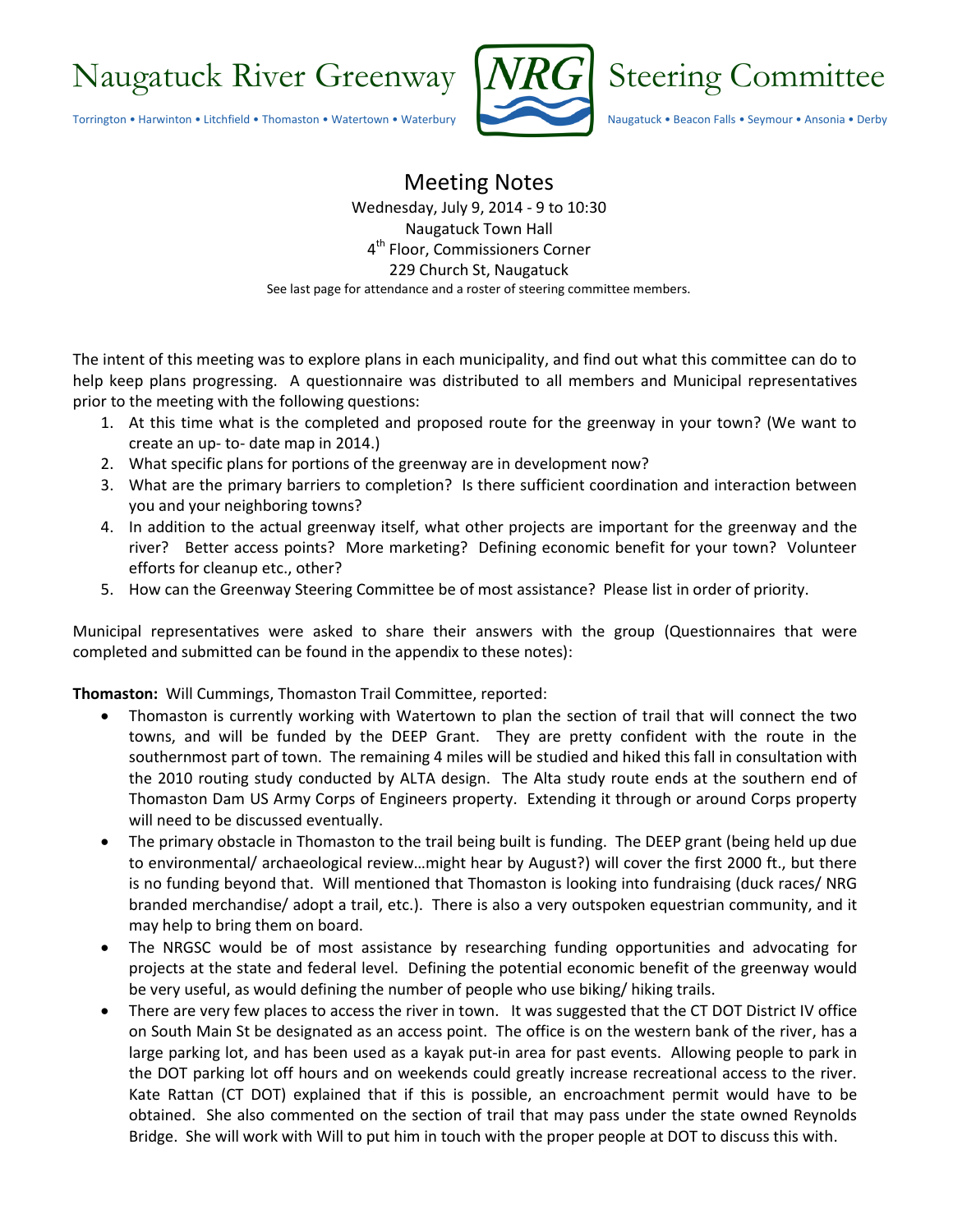

Meeting Notes Wednesday, July 9, 2014 - 9 to 10:30 Naugatuck Town Hall 4 th Floor, Commissioners Corner 229 Church St, Naugatuck See last page for attendance and a roster of steering committee members.

The intent of this meeting was to explore plans in each municipality, and find out what this committee can do to help keep plans progressing. A questionnaire was distributed to all members and Municipal representatives prior to the meeting with the following questions:

- 1. At this time what is the completed and proposed route for the greenway in your town? (We want to create an up- to- date map in 2014.)
- 2. What specific plans for portions of the greenway are in development now?
- 3. What are the primary barriers to completion? Is there sufficient coordination and interaction between you and your neighboring towns?
- 4. In addition to the actual greenway itself, what other projects are important for the greenway and the river? Better access points? More marketing? Defining economic benefit for your town? Volunteer efforts for cleanup etc., other?
- 5. How can the Greenway Steering Committee be of most assistance? Please list in order of priority.

Municipal representatives were asked to share their answers with the group (Questionnaires that were completed and submitted can be found in the appendix to these notes):

**Thomaston:** Will Cummings, Thomaston Trail Committee, reported:

- Thomaston is currently working with Watertown to plan the section of trail that will connect the two towns, and will be funded by the DEEP Grant. They are pretty confident with the route in the southernmost part of town. The remaining 4 miles will be studied and hiked this fall in consultation with the 2010 routing study conducted by ALTA design. The Alta study route ends at the southern end of Thomaston Dam US Army Corps of Engineers property. Extending it through or around Corps property will need to be discussed eventually.
- The primary obstacle in Thomaston to the trail being built is funding. The DEEP grant (being held up due to environmental/ archaeological review…might hear by August?) will cover the first 2000 ft., but there is no funding beyond that. Will mentioned that Thomaston is looking into fundraising (duck races/ NRG branded merchandise/ adopt a trail, etc.). There is also a very outspoken equestrian community, and it may help to bring them on board.
- The NRGSC would be of most assistance by researching funding opportunities and advocating for projects at the state and federal level. Defining the potential economic benefit of the greenway would be very useful, as would defining the number of people who use biking/ hiking trails.
- There are very few places to access the river in town. It was suggested that the CT DOT District IV office on South Main St be designated as an access point. The office is on the western bank of the river, has a large parking lot, and has been used as a kayak put-in area for past events. Allowing people to park in the DOT parking lot off hours and on weekends could greatly increase recreational access to the river. Kate Rattan (CT DOT) explained that if this is possible, an encroachment permit would have to be obtained. She also commented on the section of trail that may pass under the state owned Reynolds Bridge. She will work with Will to put him in touch with the proper people at DOT to discuss this with.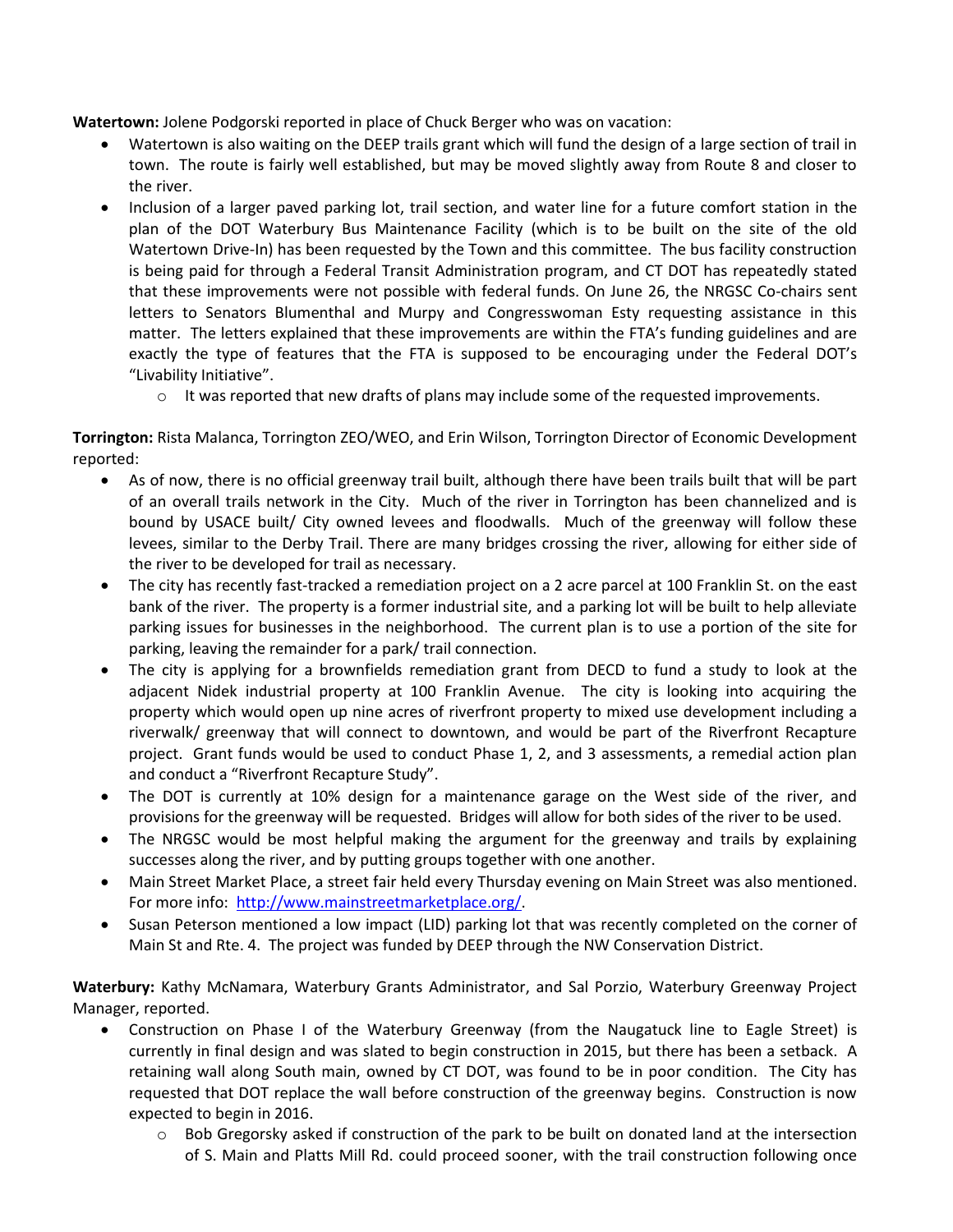**Watertown:** Jolene Podgorski reported in place of Chuck Berger who was on vacation:

- Watertown is also waiting on the DEEP trails grant which will fund the design of a large section of trail in town. The route is fairly well established, but may be moved slightly away from Route 8 and closer to the river.
- Inclusion of a larger paved parking lot, trail section, and water line for a future comfort station in the plan of the DOT Waterbury Bus Maintenance Facility (which is to be built on the site of the old Watertown Drive-In) has been requested by the Town and this committee. The bus facility construction is being paid for through a Federal Transit Administration program, and CT DOT has repeatedly stated that these improvements were not possible with federal funds. On June 26, the NRGSC Co-chairs sent letters to Senators Blumenthal and Murpy and Congresswoman Esty requesting assistance in this matter. The letters explained that these improvements are within the FTA's funding guidelines and are exactly the type of features that the FTA is supposed to be encouraging under the Federal DOT's "Livability Initiative".
	- $\circ$  It was reported that new drafts of plans may include some of the requested improvements.

**Torrington:** Rista Malanca, Torrington ZEO/WEO, and Erin Wilson, Torrington Director of Economic Development reported:

- As of now, there is no official greenway trail built, although there have been trails built that will be part of an overall trails network in the City. Much of the river in Torrington has been channelized and is bound by USACE built/ City owned levees and floodwalls. Much of the greenway will follow these levees, similar to the Derby Trail. There are many bridges crossing the river, allowing for either side of the river to be developed for trail as necessary.
- The city has recently fast-tracked a remediation project on a 2 acre parcel at 100 Franklin St. on the east bank of the river. The property is a former industrial site, and a parking lot will be built to help alleviate parking issues for businesses in the neighborhood. The current plan is to use a portion of the site for parking, leaving the remainder for a park/ trail connection.
- The city is applying for a brownfields remediation grant from DECD to fund a study to look at the adjacent Nidek industrial property at 100 Franklin Avenue. The city is looking into acquiring the property which would open up nine acres of riverfront property to mixed use development including a riverwalk/ greenway that will connect to downtown, and would be part of the Riverfront Recapture project. Grant funds would be used to conduct Phase 1, 2, and 3 assessments, a remedial action plan and conduct a "Riverfront Recapture Study".
- The DOT is currently at 10% design for a maintenance garage on the West side of the river, and provisions for the greenway will be requested. Bridges will allow for both sides of the river to be used.
- The NRGSC would be most helpful making the argument for the greenway and trails by explaining successes along the river, and by putting groups together with one another.
- Main Street Market Place, a street fair held every Thursday evening on Main Street was also mentioned. For more info: [http://www.mainstreetmarketplace.org/.](http://www.mainstreetmarketplace.org/)
- Susan Peterson mentioned a low impact (LID) parking lot that was recently completed on the corner of Main St and Rte. 4. The project was funded by DEEP through the NW Conservation District.

**Waterbury:** Kathy McNamara, Waterbury Grants Administrator, and Sal Porzio, Waterbury Greenway Project Manager, reported.

- Construction on Phase I of the Waterbury Greenway (from the Naugatuck line to Eagle Street) is currently in final design and was slated to begin construction in 2015, but there has been a setback. A retaining wall along South main, owned by CT DOT, was found to be in poor condition. The City has requested that DOT replace the wall before construction of the greenway begins. Construction is now expected to begin in 2016.
	- o Bob Gregorsky asked if construction of the park to be built on donated land at the intersection of S. Main and Platts Mill Rd. could proceed sooner, with the trail construction following once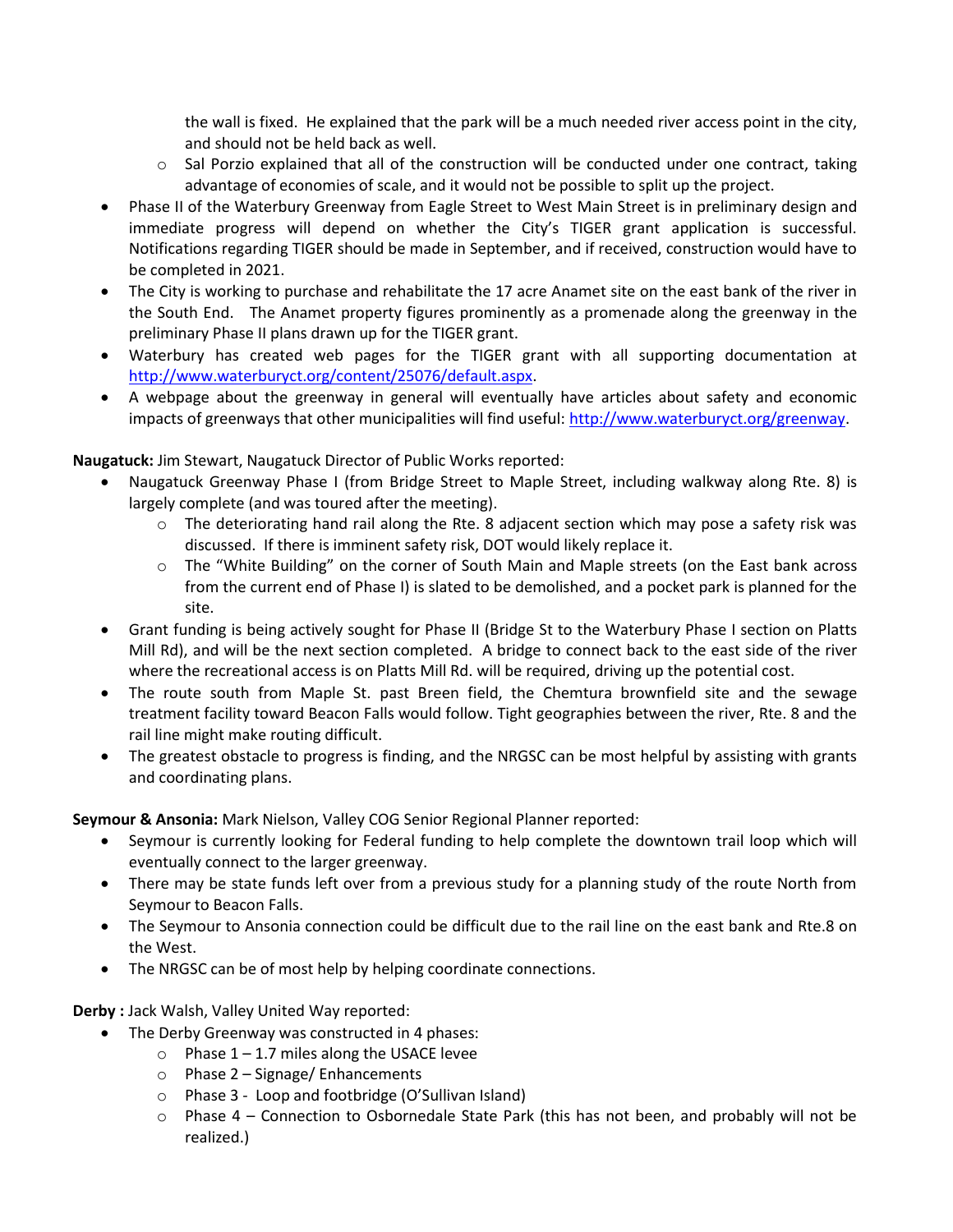the wall is fixed. He explained that the park will be a much needed river access point in the city, and should not be held back as well.

- $\circ$  Sal Porzio explained that all of the construction will be conducted under one contract, taking advantage of economies of scale, and it would not be possible to split up the project.
- Phase II of the Waterbury Greenway from Eagle Street to West Main Street is in preliminary design and immediate progress will depend on whether the City's TIGER grant application is successful. Notifications regarding TIGER should be made in September, and if received, construction would have to be completed in 2021.
- The City is working to purchase and rehabilitate the 17 acre Anamet site on the east bank of the river in the South End. The Anamet property figures prominently as a promenade along the greenway in the preliminary Phase II plans drawn up for the TIGER grant.
- Waterbury has created web pages for the TIGER grant with all supporting documentation at [http://www.waterburyct.org/content/25076/default.aspx.](http://www.waterburyct.org/content/25076/default.aspx)
- A webpage about the greenway in general will eventually have articles about safety and economic impacts of greenways that other municipalities will find useful[: http://www.waterburyct.org/greenway.](http://www.waterburyct.org/greenway)

**Naugatuck:** Jim Stewart, Naugatuck Director of Public Works reported:

- Naugatuck Greenway Phase I (from Bridge Street to Maple Street, including walkway along Rte. 8) is largely complete (and was toured after the meeting).
	- $\circ$  The deteriorating hand rail along the Rte. 8 adjacent section which may pose a safety risk was discussed. If there is imminent safety risk, DOT would likely replace it.
	- o The "White Building" on the corner of South Main and Maple streets (on the East bank across from the current end of Phase I) is slated to be demolished, and a pocket park is planned for the site.
- Grant funding is being actively sought for Phase II (Bridge St to the Waterbury Phase I section on Platts Mill Rd), and will be the next section completed. A bridge to connect back to the east side of the river where the recreational access is on Platts Mill Rd. will be required, driving up the potential cost.
- The route south from Maple St. past Breen field, the Chemtura brownfield site and the sewage treatment facility toward Beacon Falls would follow. Tight geographies between the river, Rte. 8 and the rail line might make routing difficult.
- The greatest obstacle to progress is finding, and the NRGSC can be most helpful by assisting with grants and coordinating plans.

**Seymour & Ansonia:** Mark Nielson, Valley COG Senior Regional Planner reported:

- Seymour is currently looking for Federal funding to help complete the downtown trail loop which will eventually connect to the larger greenway.
- There may be state funds left over from a previous study for a planning study of the route North from Seymour to Beacon Falls.
- The Seymour to Ansonia connection could be difficult due to the rail line on the east bank and Rte.8 on the West.
- The NRGSC can be of most help by helping coordinate connections.

**Derby :** Jack Walsh, Valley United Way reported:

- The Derby Greenway was constructed in 4 phases:
	- $\circ$  Phase 1 1.7 miles along the USACE levee
	- o Phase 2 Signage/ Enhancements
	- o Phase 3 Loop and footbridge (O'Sullivan Island)
	- $\circ$  Phase 4 Connection to Osbornedale State Park (this has not been, and probably will not be realized.)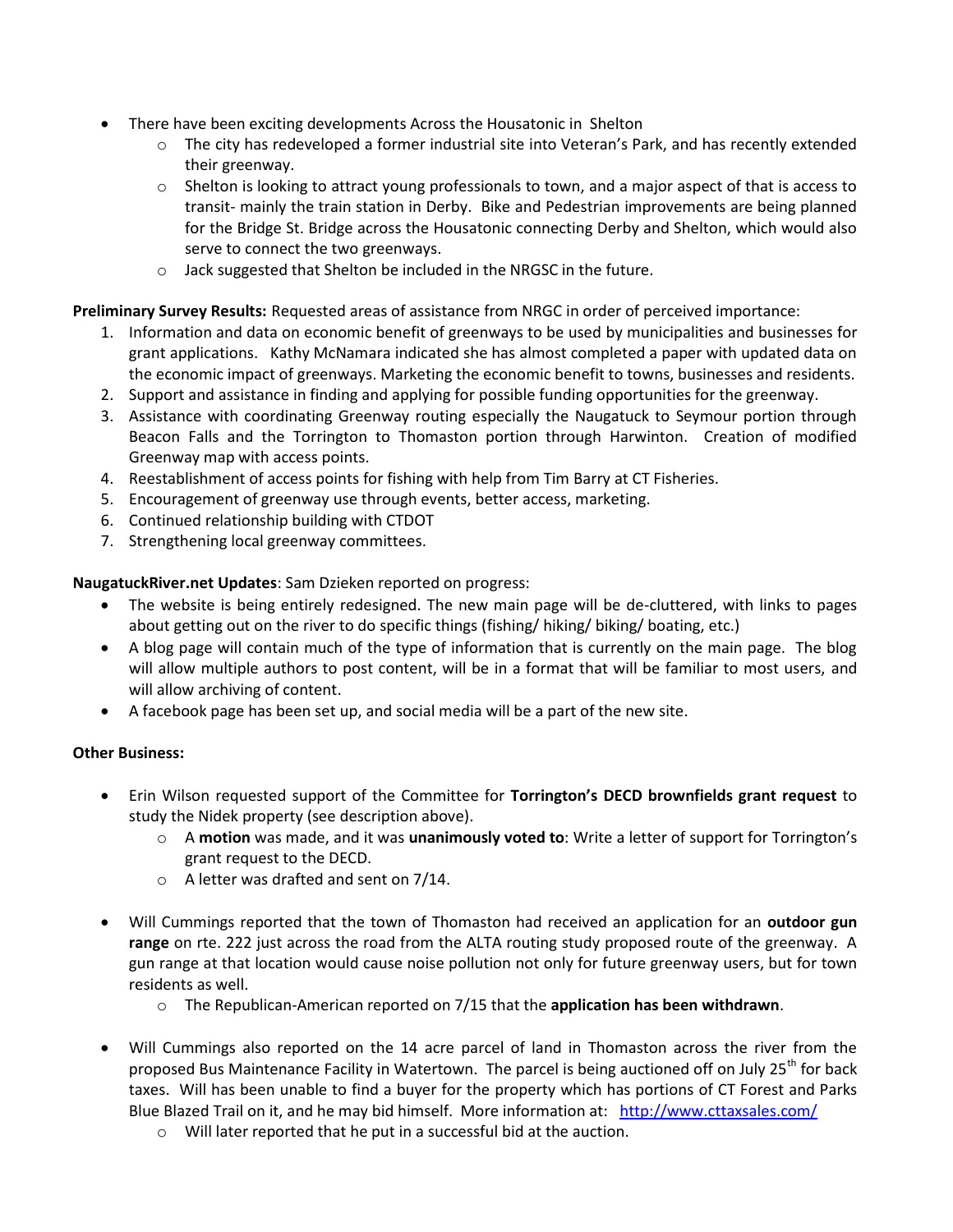- There have been exciting developments Across the Housatonic in Shelton
	- o The city has redeveloped a former industrial site into Veteran's Park, and has recently extended their greenway.
	- o Shelton is looking to attract young professionals to town, and a major aspect of that is access to transit- mainly the train station in Derby. Bike and Pedestrian improvements are being planned for the Bridge St. Bridge across the Housatonic connecting Derby and Shelton, which would also serve to connect the two greenways.
	- o Jack suggested that Shelton be included in the NRGSC in the future.

#### **Preliminary Survey Results:** Requested areas of assistance from NRGC in order of perceived importance:

- 1. Information and data on economic benefit of greenways to be used by municipalities and businesses for grant applications. Kathy McNamara indicated she has almost completed a paper with updated data on the economic impact of greenways. Marketing the economic benefit to towns, businesses and residents.
- 2. Support and assistance in finding and applying for possible funding opportunities for the greenway.
- 3. Assistance with coordinating Greenway routing especially the Naugatuck to Seymour portion through Beacon Falls and the Torrington to Thomaston portion through Harwinton. Creation of modified Greenway map with access points.
- 4. Reestablishment of access points for fishing with help from Tim Barry at CT Fisheries.
- 5. Encouragement of greenway use through events, better access, marketing.
- 6. Continued relationship building with CTDOT
- 7. Strengthening local greenway committees.

#### **NaugatuckRiver.net Updates**: Sam Dzieken reported on progress:

- The website is being entirely redesigned. The new main page will be de-cluttered, with links to pages about getting out on the river to do specific things (fishing/ hiking/ biking/ boating, etc.)
- A blog page will contain much of the type of information that is currently on the main page. The blog will allow multiple authors to post content, will be in a format that will be familiar to most users, and will allow archiving of content.
- A facebook page has been set up, and social media will be a part of the new site.

#### **Other Business:**

- Erin Wilson requested support of the Committee for **Torrington's DECD brownfields grant request** to study the Nidek property (see description above).
	- o A **motion** was made, and it was **unanimously voted to**: Write a letter of support for Torrington's grant request to the DECD.
	- o A letter was drafted and sent on 7/14.
- Will Cummings reported that the town of Thomaston had received an application for an **outdoor gun range** on rte. 222 just across the road from the ALTA routing study proposed route of the greenway. A gun range at that location would cause noise pollution not only for future greenway users, but for town residents as well.
	- o The Republican-American reported on 7/15 that the **application has been withdrawn**.
- Will Cummings also reported on the 14 acre parcel of land in Thomaston across the river from the proposed Bus Maintenance Facility in Watertown. The parcel is being auctioned off on July 25<sup>th</sup> for back taxes. Will has been unable to find a buyer for the property which has portions of CT Forest and Parks Blue Blazed Trail on it, and he may bid himself. More information at: <http://www.cttaxsales.com/>
	- o Will later reported that he put in a successful bid at the auction.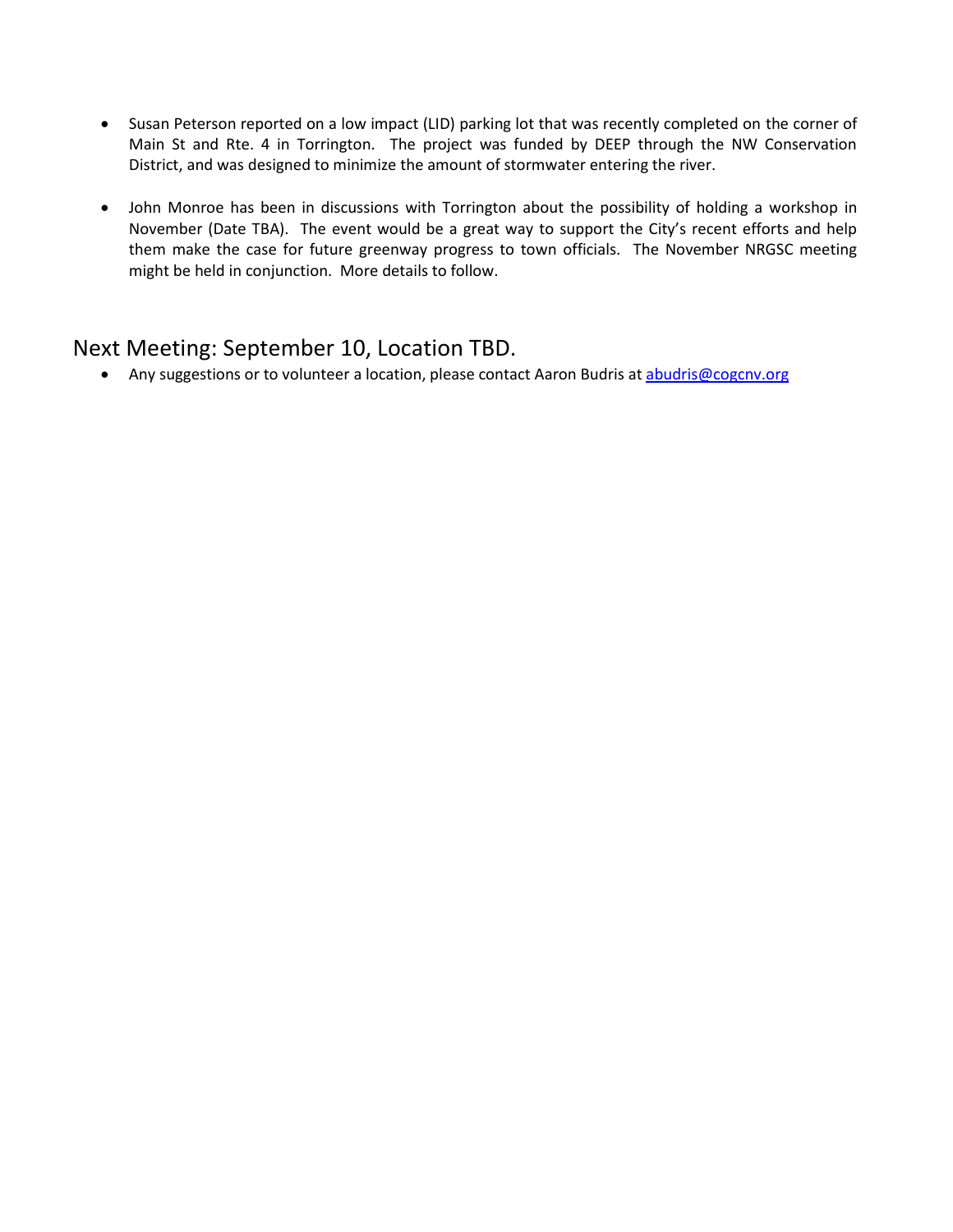- Susan Peterson reported on a low impact (LID) parking lot that was recently completed on the corner of Main St and Rte. 4 in Torrington. The project was funded by DEEP through the NW Conservation District, and was designed to minimize the amount of stormwater entering the river.
- John Monroe has been in discussions with Torrington about the possibility of holding a workshop in November (Date TBA). The event would be a great way to support the City's recent efforts and help them make the case for future greenway progress to town officials. The November NRGSC meeting might be held in conjunction. More details to follow.

# Next Meeting: September 10, Location TBD.

• Any suggestions or to volunteer a location, please contact Aaron Budris at [abudris@cogcnv.org](mailto:abudris@cogcnv.org)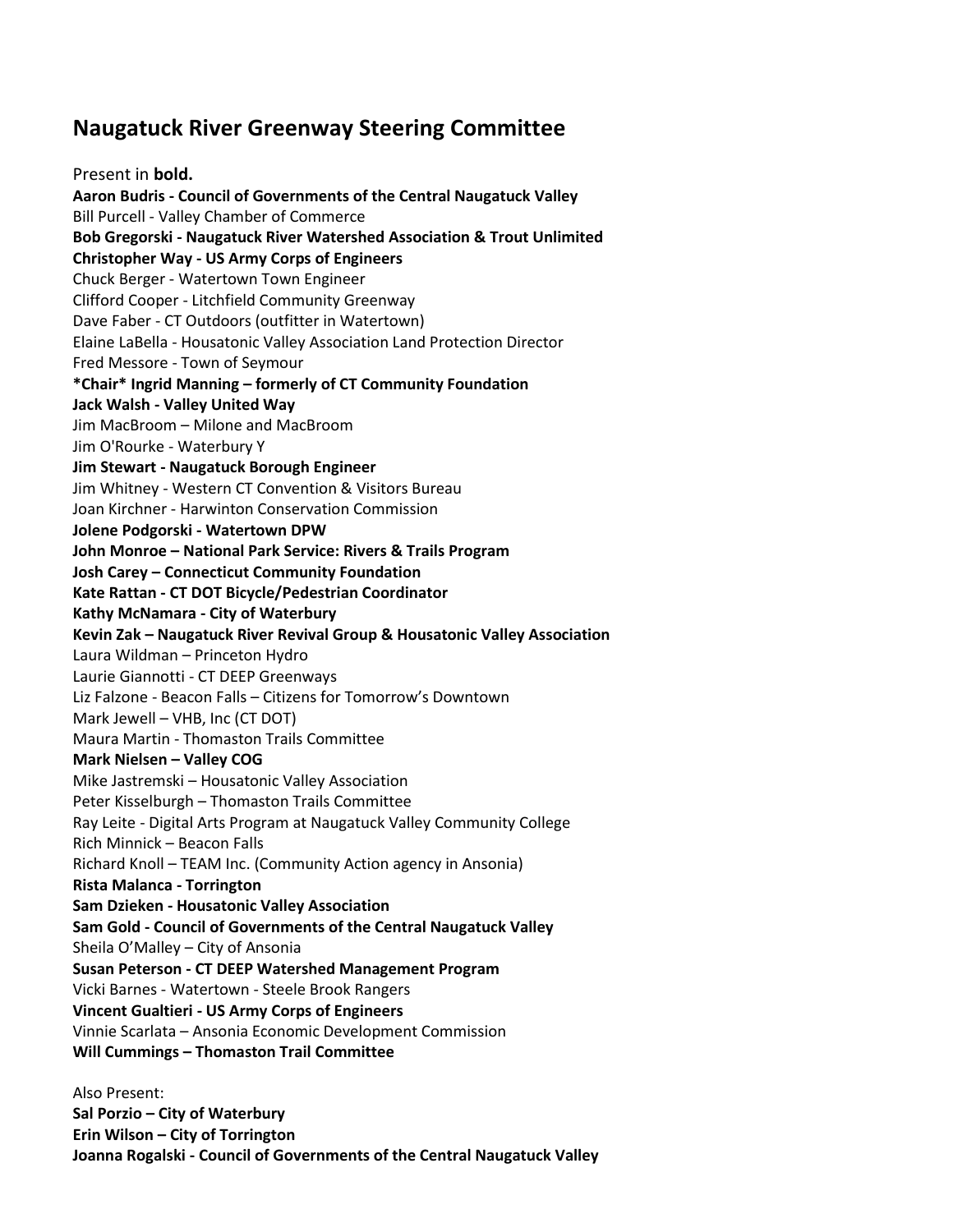# **Naugatuck River Greenway Steering Committee**

Present in **bold. Aaron Budris - Council of Governments of the Central Naugatuck Valley** Bill Purcell - Valley Chamber of Commerce **Bob Gregorski - Naugatuck River Watershed Association & Trout Unlimited Christopher Way - US Army Corps of Engineers**  Chuck Berger - Watertown Town Engineer Clifford Cooper - Litchfield Community Greenway Dave Faber - CT Outdoors (outfitter in Watertown) Elaine LaBella - Housatonic Valley Association Land Protection Director Fred Messore - Town of Seymour **\*Chair\* Ingrid Manning – formerly of CT Community Foundation Jack Walsh - Valley United Way**  Jim MacBroom – Milone and MacBroom Jim O'Rourke - Waterbury Y **Jim Stewart - Naugatuck Borough Engineer**  Jim Whitney - Western CT Convention & Visitors Bureau Joan Kirchner - Harwinton Conservation Commission **Jolene Podgorski - Watertown DPW John Monroe – National Park Service: Rivers & Trails Program Josh Carey – Connecticut Community Foundation Kate Rattan - CT DOT Bicycle/Pedestrian Coordinator Kathy McNamara - City of Waterbury Kevin Zak – Naugatuck River Revival Group & Housatonic Valley Association**  Laura Wildman – Princeton Hydro Laurie Giannotti - CT DEEP Greenways Liz Falzone - Beacon Falls – Citizens for Tomorrow's Downtown Mark Jewell – VHB, Inc (CT DOT) Maura Martin - Thomaston Trails Committee **Mark Nielsen – Valley COG** Mike Jastremski – Housatonic Valley Association Peter Kisselburgh – Thomaston Trails Committee Ray Leite - Digital Arts Program at Naugatuck Valley Community College Rich Minnick – Beacon Falls Richard Knoll – TEAM Inc. (Community Action agency in Ansonia) **Rista Malanca - Torrington Sam Dzieken - Housatonic Valley Association Sam Gold - Council of Governments of the Central Naugatuck Valley**  Sheila O'Malley – City of Ansonia **Susan Peterson - CT DEEP Watershed Management Program**  Vicki Barnes - Watertown - Steele Brook Rangers **Vincent Gualtieri - US Army Corps of Engineers**  Vinnie Scarlata – Ansonia Economic Development Commission **Will Cummings – Thomaston Trail Committee**  Also Present:

**Sal Porzio – City of Waterbury Erin Wilson – City of Torrington Joanna Rogalski - Council of Governments of the Central Naugatuck Valley**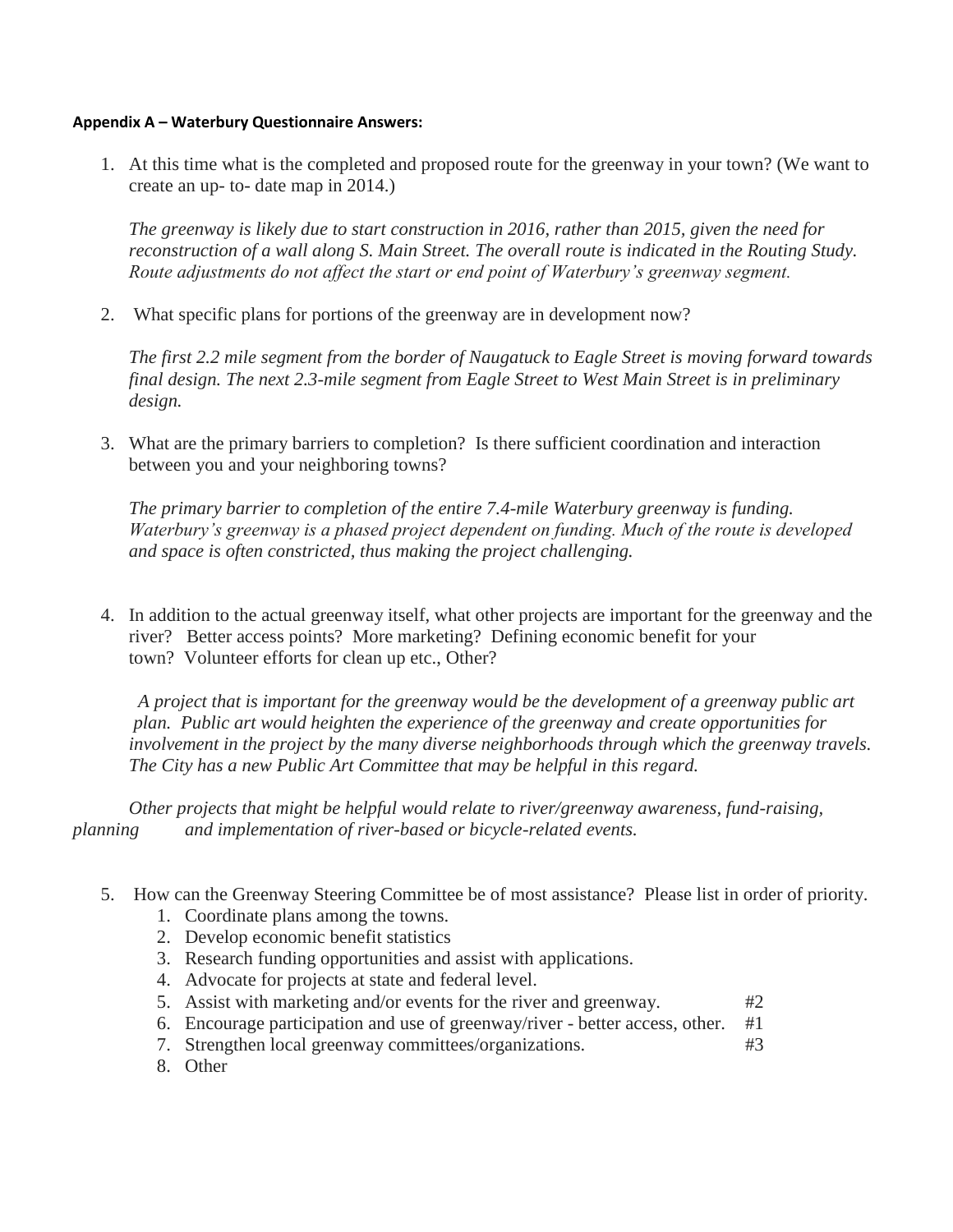#### **Appendix A – Waterbury Questionnaire Answers:**

1. At this time what is the completed and proposed route for the greenway in your town? (We want to create an up- to- date map in 2014.)

*The greenway is likely due to start construction in 2016, rather than 2015, given the need for reconstruction of a wall along S. Main Street. The overall route is indicated in the Routing Study. Route adjustments do not affect the start or end point of Waterbury's greenway segment.*

2. What specific plans for portions of the greenway are in development now?

*The first 2.2 mile segment from the border of Naugatuck to Eagle Street is moving forward towards final design. The next 2.3-mile segment from Eagle Street to West Main Street is in preliminary design.*

3. What are the primary barriers to completion? Is there sufficient coordination and interaction between you and your neighboring towns?

*The primary barrier to completion of the entire 7.4-mile Waterbury greenway is funding. Waterbury's greenway is a phased project dependent on funding. Much of the route is developed and space is often constricted, thus making the project challenging.* 

4. In addition to the actual greenway itself, what other projects are important for the greenway and the river? Better access points? More marketing? Defining economic benefit for your town? Volunteer efforts for clean up etc., Other?

 *A project that is important for the greenway would be the development of a greenway public art plan. Public art would heighten the experience of the greenway and create opportunities for involvement in the project by the many diverse neighborhoods through which the greenway travels. The City has a new Public Art Committee that may be helpful in this regard.*

*Other projects that might be helpful would relate to river/greenway awareness, fund-raising, planning and implementation of river-based or bicycle-related events.* 

- 5. How can the Greenway Steering Committee be of most assistance? Please list in order of priority.
	- 1. Coordinate plans among the towns.
	- 2. Develop economic benefit statistics
	- 3. Research funding opportunities and assist with applications.
	- 4. Advocate for projects at state and federal level.
	- 5. Assist with marketing and/or events for the river and greenway. #2
	- 6. Encourage participation and use of greenway/river better access, other. #1
	- 7. Strengthen local greenway committees/organizations. #3
	- 8. Other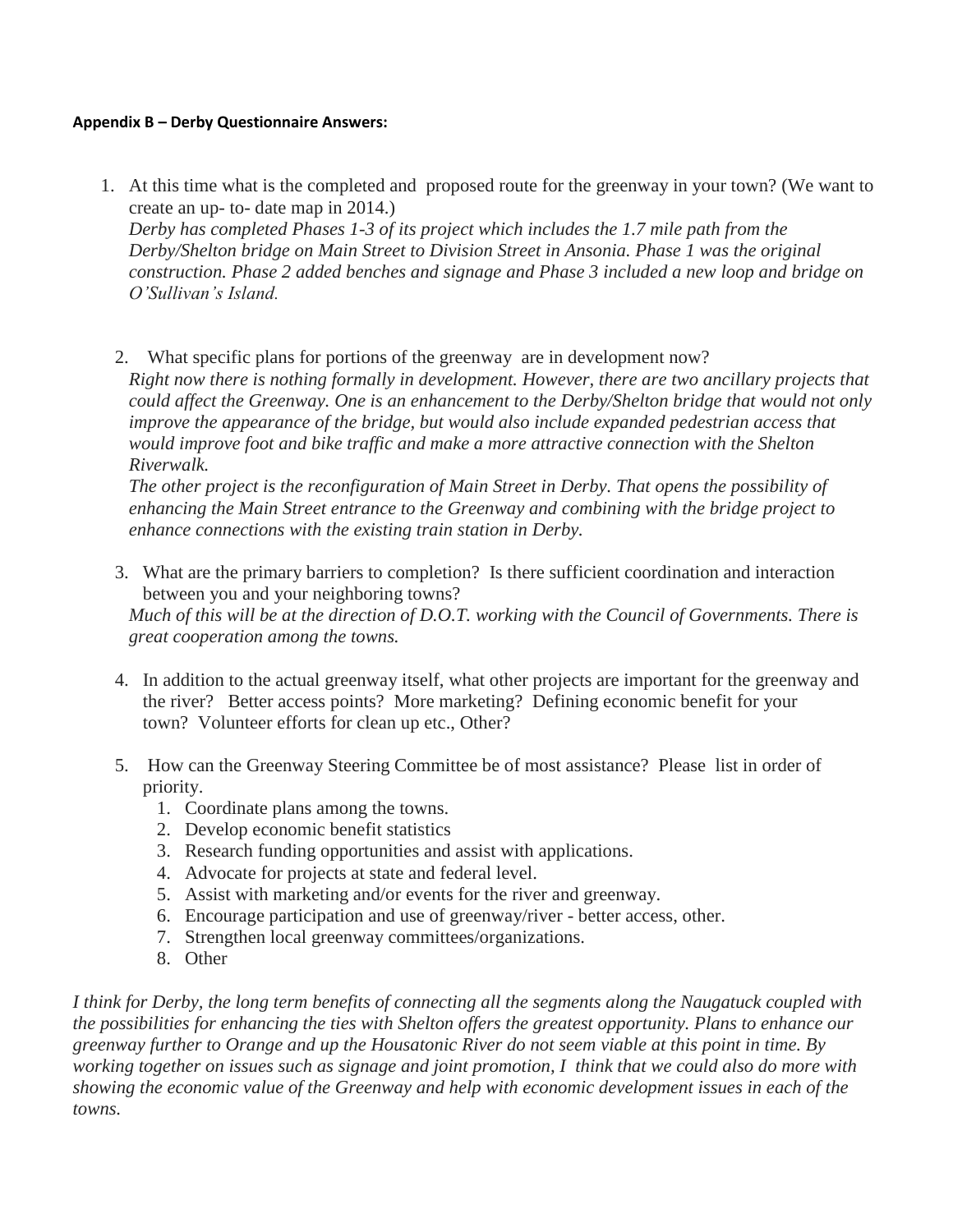#### **Appendix B – Derby Questionnaire Answers:**

1. At this time what is the completed and proposed route for the greenway in your town? (We want to create an up- to- date map in 2014.)

*Derby has completed Phases 1-3 of its project which includes the 1.7 mile path from the Derby/Shelton bridge on Main Street to Division Street in Ansonia. Phase 1 was the original construction. Phase 2 added benches and signage and Phase 3 included a new loop and bridge on O'Sullivan's Island.*

2. What specific plans for portions of the greenway are in development now? *Right now there is nothing formally in development. However, there are two ancillary projects that could affect the Greenway. One is an enhancement to the Derby/Shelton bridge that would not only improve the appearance of the bridge, but would also include expanded pedestrian access that would improve foot and bike traffic and make a more attractive connection with the Shelton Riverwalk.*

*The other project is the reconfiguration of Main Street in Derby. That opens the possibility of enhancing the Main Street entrance to the Greenway and combining with the bridge project to enhance connections with the existing train station in Derby.*

3. What are the primary barriers to completion? Is there sufficient coordination and interaction between you and your neighboring towns?

*Much of this will be at the direction of D.O.T. working with the Council of Governments. There is great cooperation among the towns.*

- 4. In addition to the actual greenway itself, what other projects are important for the greenway and the river? Better access points? More marketing? Defining economic benefit for your town? Volunteer efforts for clean up etc., Other?
- 5. How can the Greenway Steering Committee be of most assistance? Please list in order of priority.
	- 1. Coordinate plans among the towns.
	- 2. Develop economic benefit statistics
	- 3. Research funding opportunities and assist with applications.
	- 4. Advocate for projects at state and federal level.
	- 5. Assist with marketing and/or events for the river and greenway.
	- 6. Encourage participation and use of greenway/river better access, other.
	- 7. Strengthen local greenway committees/organizations.
	- 8. Other

*I think for Derby, the long term benefits of connecting all the segments along the Naugatuck coupled with the possibilities for enhancing the ties with Shelton offers the greatest opportunity. Plans to enhance our greenway further to Orange and up the Housatonic River do not seem viable at this point in time. By working together on issues such as signage and joint promotion, I think that we could also do more with showing the economic value of the Greenway and help with economic development issues in each of the towns.*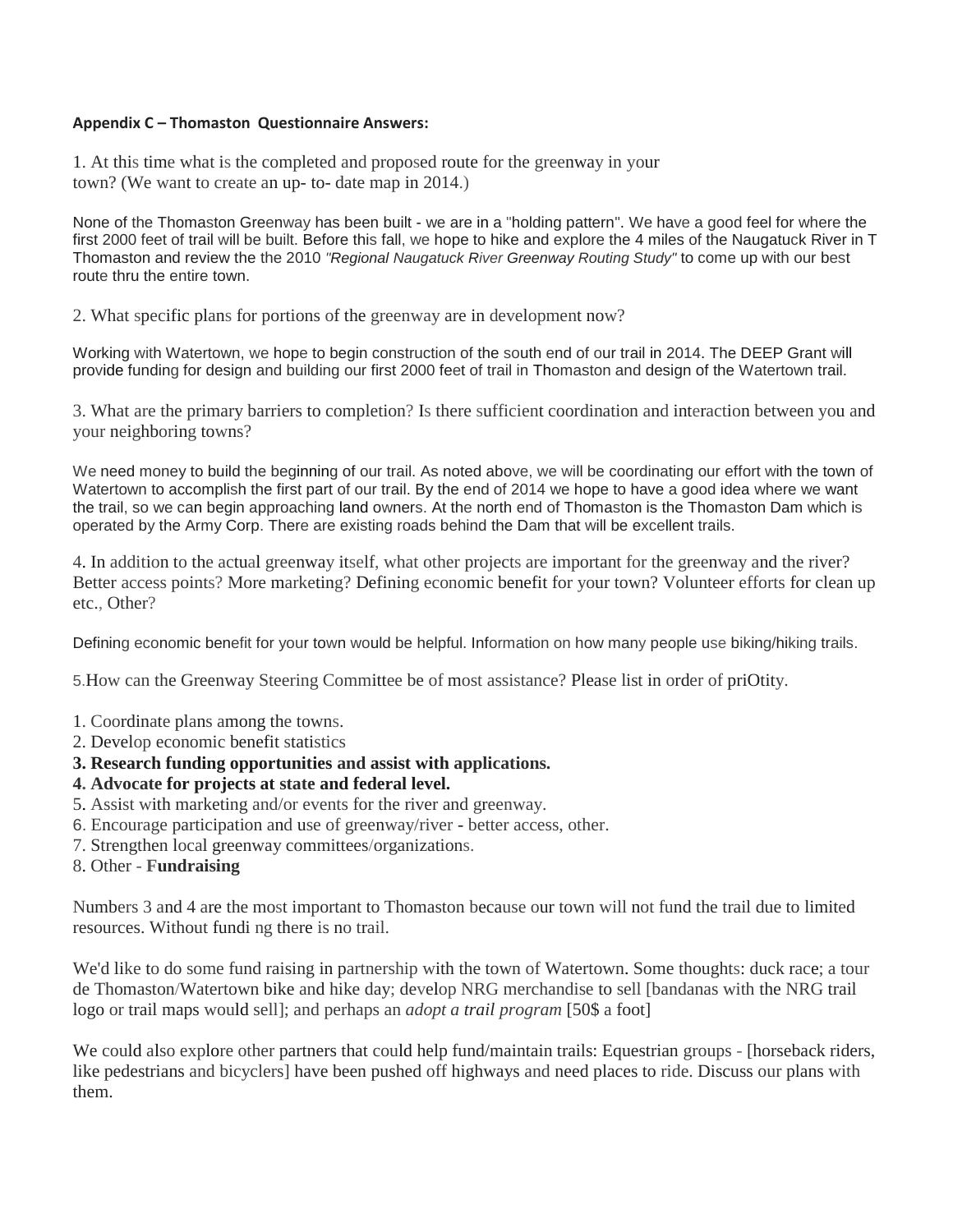#### **Appendix C – Thomaston Questionnaire Answers:**

1. At this time what is the completed and proposed route for the greenway in your town? (We want to create an up- to- date map in 2014.)

None of the Thomaston Greenway has been built - we are in a "holding pattern". We have a good feel for where the first 2000 feet of trail will be built. Before this fall, we hope to hike and explore the 4 miles of the Naugatuck River in T Thomaston and review the the 2010 *"Regional Naugatuck River Greenway Routing Study"* to come up with our best route thru the entire town.

2. What specific plans for portions of the greenway are in development now?

Working with Watertown, we hope to begin construction of the south end of our trail in 2014. The DEEP Grant will provide funding for design and building our first 2000 feet of trail in Thomaston and design of the Watertown trail.

3. What are the primary barriers to completion? Is there sufficient coordination and interaction between you and your neighboring towns?

We need money to build the beginning of our trail. As noted above, we will be coordinating our effort with the town of Watertown to accomplish the first part of our trail. By the end of 2014 we hope to have a good idea where we want the trail, so we can begin approaching land owners. At the north end of Thomaston is the Thomaston Dam which is operated by the Army Corp. There are existing roads behind the Dam that will be excellent trails.

4. In addition to the actual greenway itself, what other projects are important for the greenway and the river? Better access points? More marketing? Defining economic benefit for your town? Volunteer efforts for clean up etc., Other?

Defining economic benefit for your town would be helpful. Information on how many people use biking/hiking trails.

5.How can the Greenway Steering Committee be of most assistance? Please list in order of priOtity.

- 1. Coordinate plans among the towns.
- 2. Develop economic benefit statistics
- **3. Research funding opportunities and assist with applications.**
- **4. Advocate for projects at state and federal level.**
- 5. Assist with marketing and/or events for the river and greenway.
- 6. Encourage participation and use of greenway/river better access, other.
- 7. Strengthen local greenway committees/organizations.
- 8. Other **Fundraising**

Numbers 3 and 4 are the most important to Thomaston because our town will not fund the trail due to limited resources. Without fundi ng there is no trail.

We'd like to do some fund raising in partnership with the town of Watertown. Some thoughts: duck race; a tour de Thomaston/Watertown bike and hike day; develop NRG merchandise to sell [bandanas with the NRG trail logo or trail maps would sell]; and perhaps an *adopt a trail program* [50\$ a foot]

We could also explore other partners that could help fund/maintain trails: Equestrian groups - [horseback riders, like pedestrians and bicyclers] have been pushed off highways and need places to ride. Discuss our plans with them.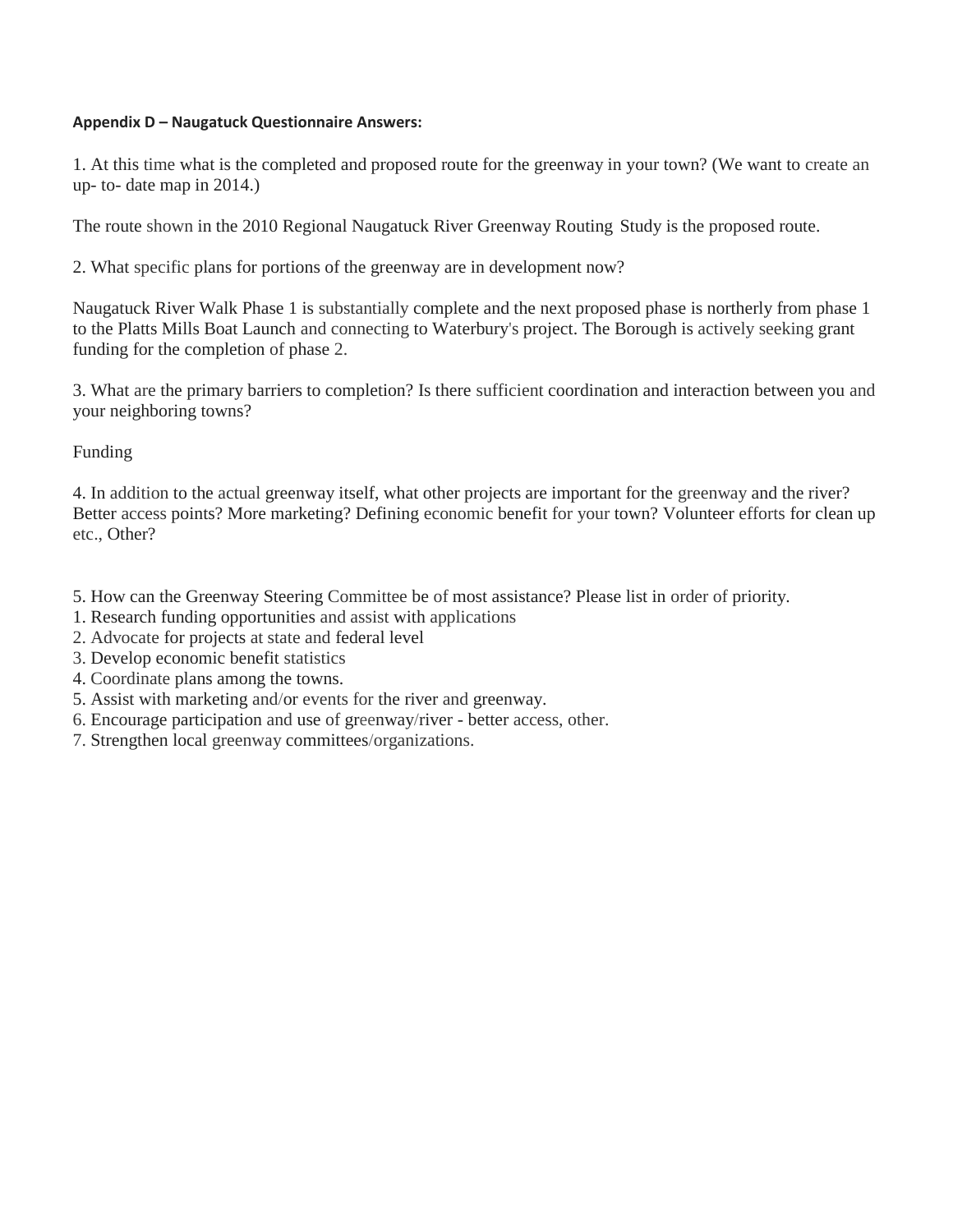#### **Appendix D – Naugatuck Questionnaire Answers:**

1. At this time what is the completed and proposed route for the greenway in your town? (We want to create an up- to- date map in 2014.)

The route shown in the 2010 Regional Naugatuck River Greenway Routing Study is the proposed route.

2. What specific plans for portions of the greenway are in development now?

Naugatuck River Walk Phase 1 is substantially complete and the next proposed phase is northerly from phase 1 to the Platts Mills Boat Launch and connecting to Waterbury's project. The Borough is actively seeking grant funding for the completion of phase 2.

3. What are the primary barriers to completion? Is there sufficient coordination and interaction between you and your neighboring towns?

Funding

4. In addition to the actual greenway itself, what other projects are important for the greenway and the river? Better access points? More marketing? Defining economic benefit for your town? Volunteer efforts for clean up etc., Other?

5. How can the Greenway Steering Committee be of most assistance? Please list in order of priority.

- 1. Research funding opportunities and assist with applications
- 2. Advocate for projects at state and federal level
- 3. Develop economic benefit statistics
- 4. Coordinate plans among the towns.
- 5. Assist with marketing and/or events for the river and greenway.
- 6. Encourage participation and use of greenway/river better access, other.
- 7. Strengthen local greenway committees/organizations.